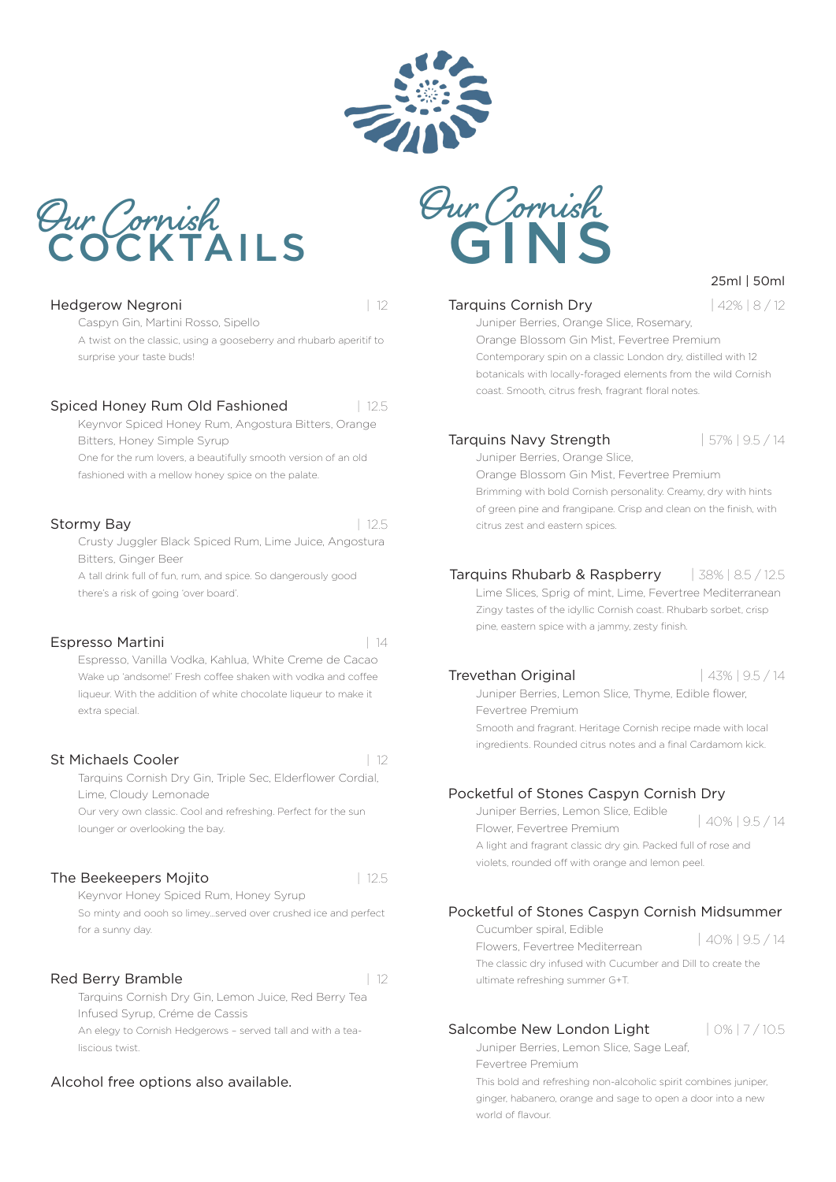

### Tarquins Cornish Dry | 42% | 8 / 12

25ml | 50ml

Juniper Berries, Orange Slice, Rosemary, Orange Blossom Gin Mist, Fevertree Premium Contemporary spin on a classic London dry, distilled with 12 botanicals with locally-foraged elements from the wild Cornish coast. Smooth, citrus fresh, fragrant floral notes.

### Tarquins Navy Strength | 57% | 9.5 / 14

Juniper Berries, Orange Slice, Orange Blossom Gin Mist, Fevertree Premium Brimming with bold Cornish personality. Creamy, dry with hints of green pine and frangipane. Crisp and clean on the finish, with citrus zest and eastern spices.

### Tarquins Rhubarb & Raspberry | 38% | 8.5 / 12.5

Lime Slices, Sprig of mint, Lime, Fevertree Mediterranean Zingy tastes of the idyllic Cornish coast. Rhubarb sorbet, crisp pine, eastern spice with a jammy, zesty finish.

### **Trevethan Original 143% | 43% | 9.5 / 14**

Juniper Berries, Lemon Slice, Thyme, Edible flower, Fevertree Premium

Smooth and fragrant. Heritage Cornish recipe made with local ingredients. Rounded citrus notes and a final Cardamom kick.

### Pocketful of Stones Caspyn Cornish Dry

Juniper Berries, Lemon Slice, Edible Flower, Fevertree Premium

| 40% | 9.5 / 14

A light and fragrant classic dry gin. Packed full of rose and violets, rounded off with orange and lemon peel.

### Pocketful of Stones Caspyn Cornish Midsummer

Cucumber spiral, Edible Flowers, Fevertree Mediterrean The classic dry infused with Cucumber and Dill to create the ultimate refreshing summer G+T. | 40% | 9.5 / 14

### Salcombe New London Light  $|0\%|7/10.5$

world of flavour.

Juniper Berries, Lemon Slice, Sage Leaf, Fevertree Premium This bold and refreshing non-alcoholic spirit combines juniper, ginger, habanero, orange and sage to open a door into a new

**COCKTAILS** GINS **Our Cornish Our Cornish**

### **Hedgerow Negroni** | 12

Caspyn Gin, Martini Rosso, Sipello A twist on the classic, using a gooseberry and rhubarb aperitif to surprise your taste buds!

### Spiced Honey Rum Old Fashioned | 12.5

Keynvor Spiced Honey Rum, Angostura Bitters, Orange Bitters, Honey Simple Syrup

One for the rum lovers, a beautifully smooth version of an old fashioned with a mellow honey spice on the palate.

### Stormy Bay | 12.5

Crusty Juggler Black Spiced Rum, Lime Juice, Angostura Bitters, Ginger Beer

A tall drink full of fun, rum, and spice. So dangerously good there's a risk of going 'over board'.

### Espresso Martini | 14

Espresso, Vanilla Vodka, Kahlua, White Creme de Cacao Wake up 'andsome!' Fresh coffee shaken with vodka and coffee liqueur. With the addition of white chocolate liqueur to make it extra special.

### St Michaels Cooler | 12

Tarquins Cornish Dry Gin, Triple Sec, Elderflower Cordial, Lime, Cloudy Lemonade

Our very own classic. Cool and refreshing. Perfect for the sun lounger or overlooking the bay.

### The Beekeepers Mojito **by a 12.5** and 12.5

Keynvor Honey Spiced Rum, Honey Syrup So minty and oooh so limey…served over crushed ice and perfect

### Red Berry Bramble **12** 12

for a sunny day.

Tarquins Cornish Dry Gin, Lemon Juice, Red Berry Tea Infused Syrup, Créme de Cassis An elegy to Cornish Hedgerows – served tall and with a tealiscious twist.

### Alcohol free options also available.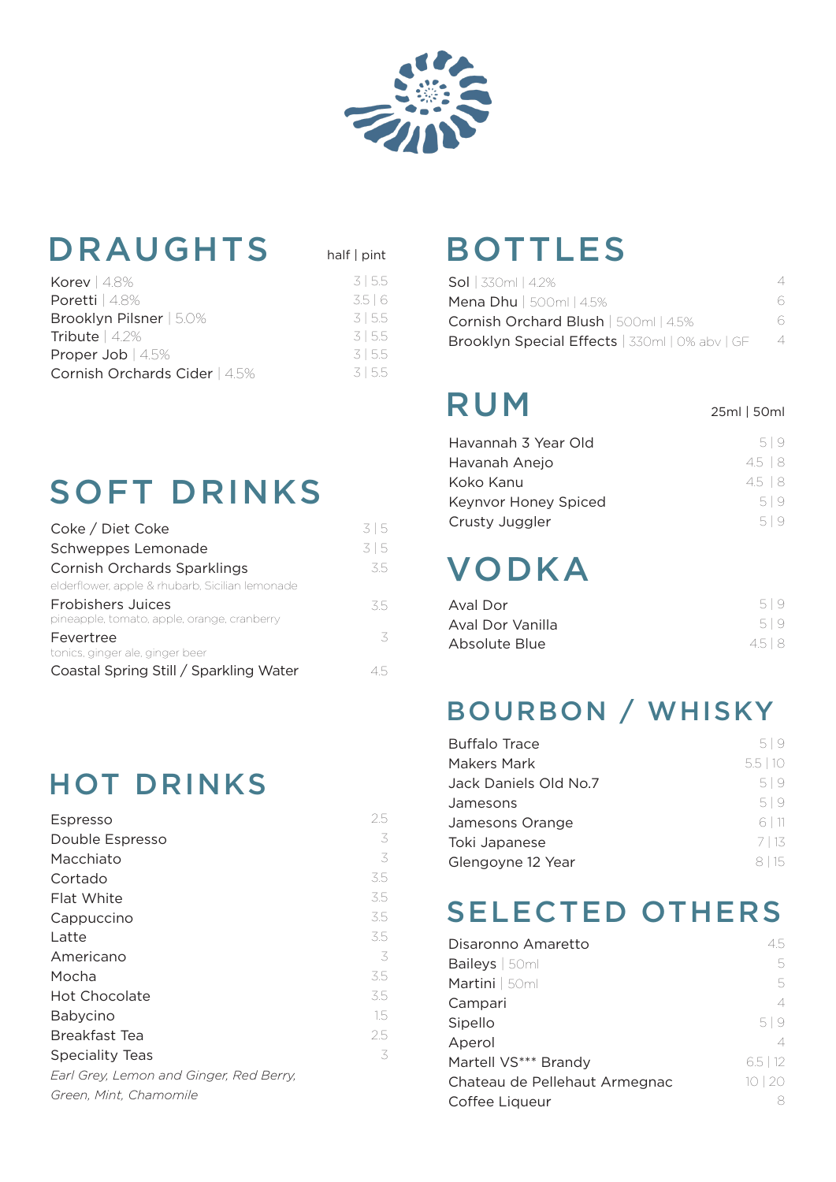

half | pint

## DRAUGHTS half|pint BOTTLES

| Korev $ 4.8\%$                | 315.5 |
|-------------------------------|-------|
| Poretti   4.8%                | 3.5 6 |
| Brooklyn Pilsner   5.0%       | 3155  |
| Tribute   4.2%                | 3155  |
| Proper Job $ 4.5\%$           | 3155  |
| Cornish Orchards Cider   4.5% | 3155  |
|                               |       |

# SOFT DRINKS

| Coke / Diet Coke                                                        | 315 |
|-------------------------------------------------------------------------|-----|
| Schweppes Lemonade                                                      | 315 |
| <b>Cornish Orchards Sparklings</b>                                      | 3.5 |
| elderflower, apple & rhubarb, Sicilian lemonade                         |     |
| <b>Frobishers Juices</b><br>pineapple, tomato, apple, orange, cranberry | 35  |
| Fevertree<br>tonics, ginger ale, ginger beer                            | 3   |
| Coastal Spring Still / Sparkling Water                                  | 15  |

## HOT DRINKS

| <b>Espresso</b>                         | 2.5 |
|-----------------------------------------|-----|
| Double Espresso                         | 3   |
| Macchiato                               | 3   |
| Cortado                                 | 3.5 |
| Flat White                              | 3.5 |
| Cappuccino                              | 3.5 |
| Latte                                   | 3.5 |
| Americano                               | 3   |
| Mocha                                   | 3.5 |
| <b>Hot Chocolate</b>                    | 3.5 |
| Babycino                                | 1.5 |
| Breakfast Tea                           | 2.5 |
| <b>Speciality Teas</b>                  | 3   |
| Earl Grey, Lemon and Ginger, Red Berry, |     |
| Green, Mint, Chamomile                  |     |

| <b>Sol</b>   330ml   4.2%                      |   |
|------------------------------------------------|---|
| <b>Mena Dhu</b>   500ml   4.5%                 | 6 |
| Cornish Orchard Blush   500ml   4.5%           | 6 |
| Brooklyn Special Effects   330ml   0% abv   GF | 4 |

# RUM

25ml | 50ml

| Havannah 3 Year Old  | 519             |
|----------------------|-----------------|
| Havanah Anejo        | $4.5 \,   \, 8$ |
| Koko Kanu            | $4.5 \, \, 8$   |
| Keynvor Honey Spiced | 519             |
| Crusty Juggler       | 509             |

# VODKA

| Aval Dor         | 519     |
|------------------|---------|
| Aval Dor Vanilla | 519     |
| Absolute Blue    | $4.5$ 8 |

### BOURBON / WHISKY

| <b>Buffalo Trace</b>  | 519    |
|-----------------------|--------|
| Makers Mark           | 5.5 10 |
| Jack Daniels Old No.7 | 519    |
| Jamesons              | 519    |
| Jamesons Orange       | 6 11   |
| Toki Japanese         | 7 13   |
| Glengoyne 12 Year     | 8   15 |

### SELECTED OTHERS

| Disaronno Amaretto            | 45.        |
|-------------------------------|------------|
| Baileys   50ml                | 5.         |
| Martini   50ml                | 5          |
| Campari                       | 4          |
| Sipello                       | 519        |
| Aperol                        | 4          |
| Martell VS*** Brandy          | $6.5$   12 |
| Chateau de Pellehaut Armegnac | 10 20      |
| Coffee Liqueur                |            |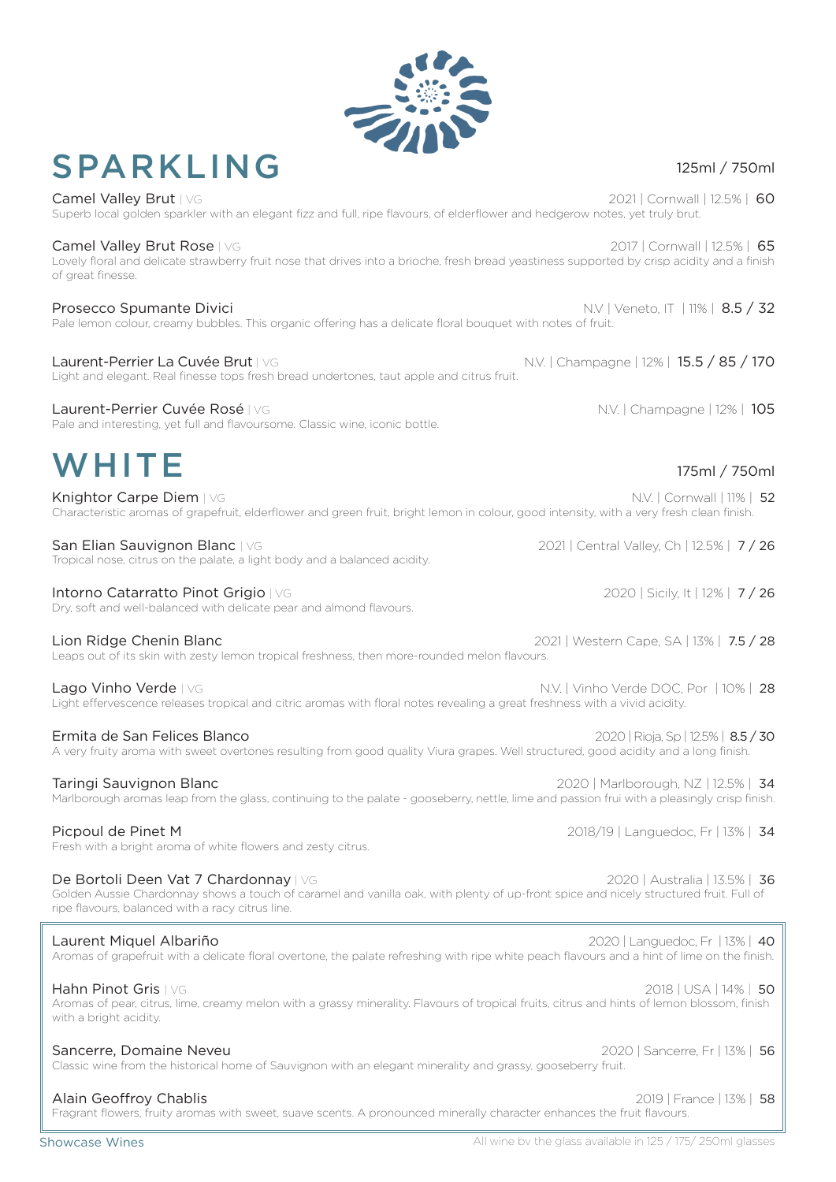### Showcase Wines

with a bright acidity.

## SPARKLING

Superb local golden sparkler with an elegant fizz and full, ripe flavours, of elderflower and hedgerow notes, yet truly brut. Camel Valley Brut Rose | VG 2017 | Cornwall | 12.5% | 65

Camel Valley Brut | VG 2021 | Cornwall | 12.5% | 60

Lovely floral and delicate strawberry fruit nose that drives into a brioche, fresh bread yeastiness supported by crisp acidity and a finish of great finesse.

Prosecco Spumante Divici **N.V | Veneto, IT | 11% | 8.5 / 32** Pale lemon colour, creamy bubbles. This organic offering has a delicate floral bouquet with notes of fruit.

### Laurent-Perrier La Cuvée Brut | VG N.V. | Champagne | 12% | 15.5 / 85 / 170 Light and elegant. Real finesse tops fresh bread undertones, taut apple and citrus fruit.

Laurent-Perrier Cuvée Rosé | VG N.V. | Champagne | 12% | 105 Pale and interesting, yet full and flavoursome. Classic wine, iconic bottle.

# WHITE

Knightor Carpe Diem | VG N.V. | Cornwall | 11% | 52 Characteristic aromas of grapefruit, elderflower and green fruit, bright lemon in colour, good intensity, with a very fresh clean finish.

San Elian Sauvignon Blanc | VG 2021 | 2021 | Central Valley, Ch | 12.5% | 7 / 26 Tropical nose, citrus on the palate, a light body and a balanced acidity.

Intorno Catarratto Pinot Grigio | VG 2020 | Sicily, It | 12% | 7 / 26 Dry, soft and well-balanced with delicate pear and almond flavours.

Lion Ridge Chenin Blanc 2021 | Western Cape, SA | 13% | 7.5 / 28 Leaps out of its skin with zesty lemon tropical freshness, then more-rounded melon flavours.

Lago Vinho Verde | VG N.V. | Vinho Verde DOC, Por | 10% | 28 Light effervescence releases tropical and citric aromas with floral notes revealing a great freshness with a vivid acidity.

| Ermita de San Felices Blanco                                                                                                        | 2020   Rioja, Sp   12.5%   8.5 / 30 |
|-------------------------------------------------------------------------------------------------------------------------------------|-------------------------------------|
| A very fruity aroma with sweet overtones resulting from good quality Viura grapes. Well structured, good acidity and a long finish. |                                     |

Taringi Sauvignon Blanc 2020 | Marlborough, NZ | 12.5% | 34 Marlborough aromas leap from the glass, continuing to the palate - gooseberry, nettle, lime and passion frui with a pleasingly crisp finish.

Picpoul de Pinet M 2018/19 | Languedoc, Fr | 13% | 34 Fresh with a bright aroma of white flowers and zesty citrus.

De Bortoli Deen Vat 7 Chardonnay | VG 2020 | Australia | 13.5% | 36 Golden Aussie Chardonnay shows a touch of caramel and vanilla oak, with plenty of up-front spice and nicely structured fruit. Full of

ripe flavours, balanced with a racy citrus line.

#### Laurent Miquel Albariño 2020 | Languedoc, Fr | 13% | 40 Aromas of grapefruit with a delicate floral overtone, the palate refreshing with ripe white peach flavours and a hint of lime on the finish.

### Aromas of pear, citrus, lime, creamy melon with a grassy minerality. Flavours of tropical fruits, citrus and hints of lemon blossom, finish

Sancerre, Domaine Neveu 2002 | Sancerre, Fr | 13% | 56 Classic wine from the historical home of Sauvignon with an elegant minerality and grassy, gooseberry fruit.

### Alain Geoffroy Chablis 2019 | France | 13% | 58

Fragrant flowers, fruity aromas with sweet, suave scents. A pronounced minerally character enhances the fruit flavours.

### 175ml / 750ml

Hahn Pinot Gris | VG 2018 | USA | 14% | 50